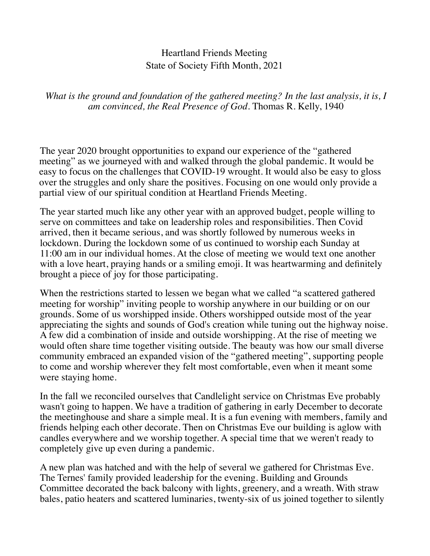## Heartland Friends Meeting State of Society Fifth Month, 2021

*What is the ground and foundation of the gathered meeting? In the last analysis, it is, I am convinced, the Real Presence of God.* Thomas R. Kelly, 1940

The year 2020 brought opportunities to expand our experience of the "gathered meeting" as we journeyed with and walked through the global pandemic. It would be easy to focus on the challenges that COVID-19 wrought. It would also be easy to gloss over the struggles and only share the positives. Focusing on one would only provide a partial view of our spiritual condition at Heartland Friends Meeting.

The year started much like any other year with an approved budget, people willing to serve on committees and take on leadership roles and responsibilities. Then Covid arrived, then it became serious, and was shortly followed by numerous weeks in lockdown. During the lockdown some of us continued to worship each Sunday at 11:00 am in our individual homes. At the close of meeting we would text one another with a love heart, praying hands or a smiling emoji. It was heartwarming and definitely brought a piece of joy for those participating.

When the restrictions started to lessen we began what we called "a scattered gathered meeting for worship" inviting people to worship anywhere in our building or on our grounds. Some of us worshipped inside. Others worshipped outside most of the year appreciating the sights and sounds of God's creation while tuning out the highway noise. A few did a combination of inside and outside worshipping. At the rise of meeting we would often share time together visiting outside. The beauty was how our small diverse community embraced an expanded vision of the "gathered meeting", supporting people to come and worship wherever they felt most comfortable, even when it meant some were staying home.

In the fall we reconciled ourselves that Candlelight service on Christmas Eve probably wasn't going to happen. We have a tradition of gathering in early December to decorate the meetinghouse and share a simple meal. It is a fun evening with members, family and friends helping each other decorate. Then on Christmas Eve our building is aglow with candles everywhere and we worship together. A special time that we weren't ready to completely give up even during a pandemic.

A new plan was hatched and with the help of several we gathered for Christmas Eve. The Ternes' family provided leadership for the evening. Building and Grounds Committee decorated the back balcony with lights, greenery, and a wreath. With straw bales, patio heaters and scattered luminaries, twenty-six of us joined together to silently